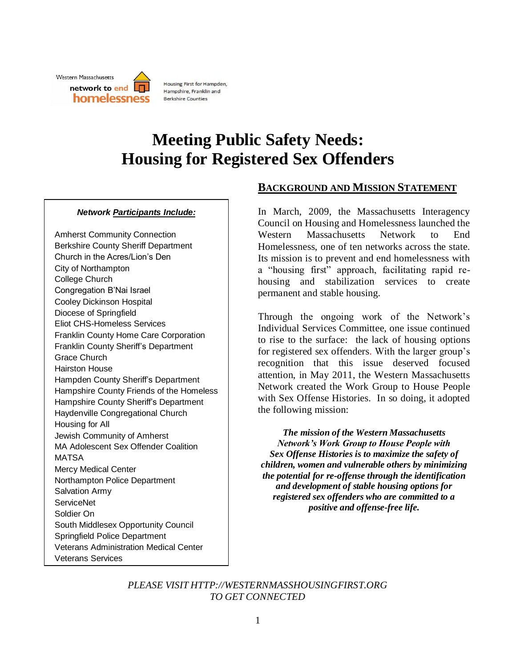

Housing First for Hampden, Hampshire, Franklin and **Berkshire Counties** 

# **Meeting Public Safety Needs: Housing for Registered Sex Offenders**

#### *Network Participants Include:*

Amherst Community Connection Berkshire County Sheriff Department Church in the Acres/Lion's Den City of Northampton College Church Congregation B'Nai Israel Cooley Dickinson Hospital Diocese of Springfield Eliot CHS-Homeless Services Franklin County Home Care Corporation Franklin County Sheriff's Department Grace Church Hairston House Hampden County Sheriff's Department Hampshire County Friends of the Homeless Hampshire County Sheriff's Department Haydenville Congregational Church Housing for All Jewish Community of Amherst MA Adolescent Sex Offender Coalition MATSA Mercy Medical Center Northampton Police Department Salvation Army **ServiceNet** Soldier On South Middlesex Opportunity Council Springfield Police Department Veterans Administration Medical Center Veterans Services

#### **BACKGROUND AND MISSION STATEMENT**

In March, 2009, the Massachusetts Interagency Council on Housing and Homelessness launched the Western Massachusetts Network to End Homelessness, one of ten networks across the state. Its mission is to prevent and end homelessness with a "housing first" approach, facilitating rapid rehousing and stabilization services to create permanent and stable housing.

Through the ongoing work of the Network's Individual Services Committee, one issue continued to rise to the surface: the lack of housing options for registered sex offenders. With the larger group's recognition that this issue deserved focused attention, in May 2011, the Western Massachusetts Network created the Work Group to House People with Sex Offense Histories. In so doing, it adopted the following mission:

*The mission of the Western Massachusetts Network's Work Group to House People with Sex Offense Histories is to maximize the safety of children, women and vulnerable others by minimizing the potential for re-offense through the identification and development of stable housing options for registered sex offenders who are committed to a positive and offense-free life.*

*PLEASE VISIT HTTP://WESTERNMASSHOUSINGFIRST.ORG TO GET CONNECTED*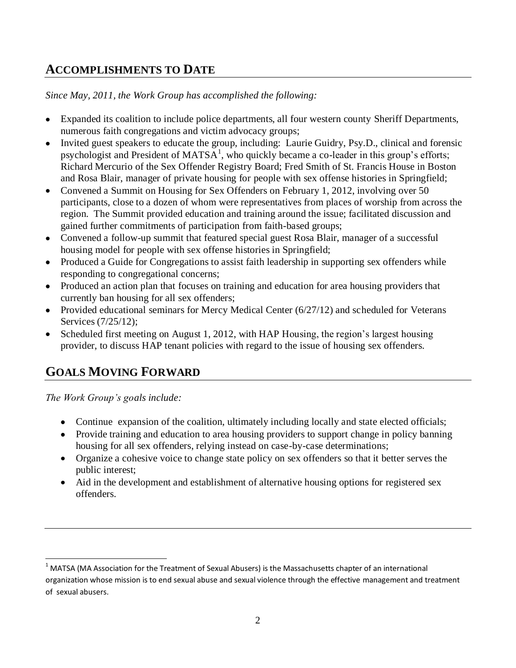## **ACCOMPLISHMENTS TO DATE**

*Since May, 2011, the Work Group has accomplished the following:*

- Expanded its coalition to include police departments, all four western county Sheriff Departments, numerous faith congregations and victim advocacy groups;
- Invited guest speakers to educate the group, including: Laurie Guidry, Psy.D., clinical and forensic psychologist and President of MATS $A<sup>1</sup>$ , who quickly became a co-leader in this group's efforts; Richard Mercurio of the Sex Offender Registry Board; Fred Smith of St. Francis House in Boston and Rosa Blair, manager of private housing for people with sex offense histories in Springfield;
- Convened a Summit on Housing for Sex Offenders on February 1, 2012, involving over 50  $\bullet$ participants, close to a dozen of whom were representatives from places of worship from across the region. The Summit provided education and training around the issue; facilitated discussion and gained further commitments of participation from faith-based groups;
- Convened a follow-up summit that featured special guest Rosa Blair, manager of a successful housing model for people with sex offense histories in Springfield;
- Produced a Guide for Congregations to assist faith leadership in supporting sex offenders while responding to congregational concerns;
- Produced an action plan that focuses on training and education for area housing providers that currently ban housing for all sex offenders;
- Provided educational seminars for Mercy Medical Center (6/27/12) and scheduled for Veterans Services (7/25/12);
- Scheduled first meeting on August 1, 2012, with HAP Housing, the region's largest housing provider, to discuss HAP tenant policies with regard to the issue of housing sex offenders.

## **GOALS MOVING FORWARD**

*The Work Group's goals include:*

 $\overline{a}$ 

- Continue expansion of the coalition, ultimately including locally and state elected officials;
- Provide training and education to area housing providers to support change in policy banning housing for all sex offenders, relying instead on case-by-case determinations;
- Organize a cohesive voice to change state policy on sex offenders so that it better serves the public interest;
- Aid in the development and establishment of alternative housing options for registered sex offenders.

<sup>1</sup> MATSA (MA Association for the Treatment of Sexual Abusers) is the Massachusetts chapter of an international organization whose mission is to end sexual abuse and sexual violence through the effective management and treatment of sexual abusers.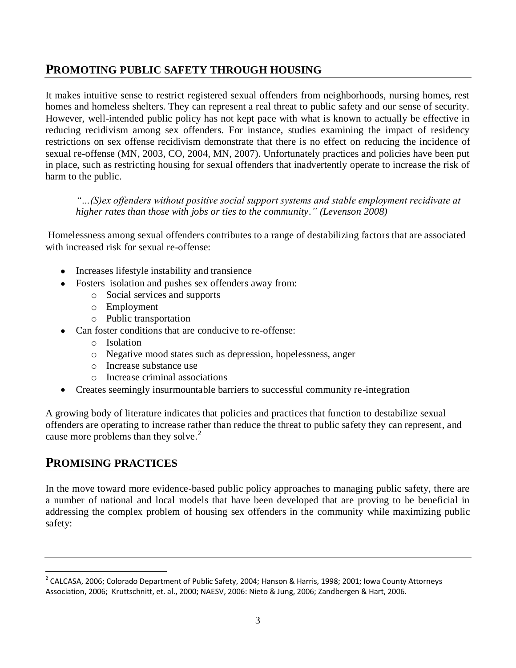## **PROMOTING PUBLIC SAFETY THROUGH HOUSING**

It makes intuitive sense to restrict registered sexual offenders from neighborhoods, nursing homes, rest homes and homeless shelters. They can represent a real threat to public safety and our sense of security. However, well-intended public policy has not kept pace with what is known to actually be effective in reducing recidivism among sex offenders. For instance, studies examining the impact of residency restrictions on sex offense recidivism demonstrate that there is no effect on reducing the incidence of sexual re-offense (MN, 2003, CO, 2004, MN, 2007). Unfortunately practices and policies have been put in place, such as restricting housing for sexual offenders that inadvertently operate to increase the risk of harm to the public.

*"…(S)ex offenders without positive social support systems and stable employment recidivate at higher rates than those with jobs or ties to the community." (Levenson 2008)*

Homelessness among sexual offenders contributes to a range of destabilizing factors that are associated with increased risk for sexual re-offense:

- Increases lifestyle instability and transience
- Fosters isolation and pushes sex offenders away from:
	- o Social services and supports
	- o Employment
	- o Public transportation
- Can foster conditions that are conducive to re-offense:
	- o Isolation
	- o Negative mood states such as depression, hopelessness, anger
	- o Increase substance use
	- o Increase criminal associations
- Creates seemingly insurmountable barriers to successful community re-integration

A growing body of literature indicates that policies and practices that function to destabilize sexual offenders are operating to increase rather than reduce the threat to public safety they can represent, and cause more problems than they solve.<sup>2</sup>

### **PROMISING PRACTICES**

 $\overline{\phantom{a}}$ 

In the move toward more evidence-based public policy approaches to managing public safety, there are a number of national and local models that have been developed that are proving to be beneficial in addressing the complex problem of housing sex offenders in the community while maximizing public safety:

 $^2$  CALCASA, 2006; Colorado Department of Public Safety, 2004; Hanson & Harris, 1998; 2001; Iowa County Attorneys Association, 2006; Kruttschnitt, et. al., 2000; NAESV, 2006: Nieto & Jung, 2006; Zandbergen & Hart, 2006.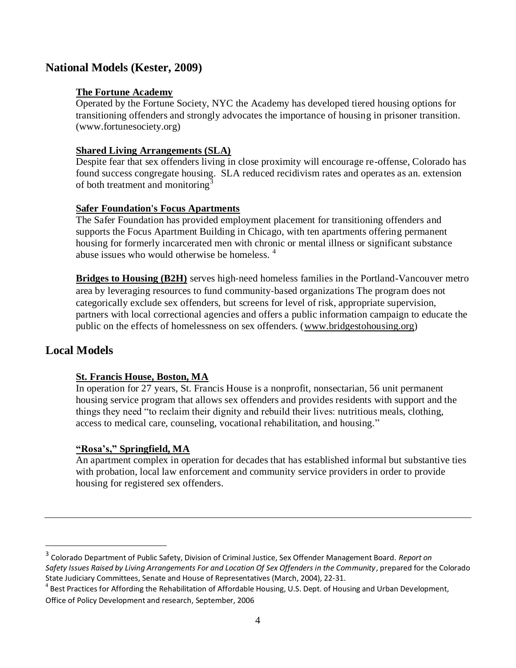#### **National Models (Kester, 2009)**

#### **The Fortune Academy**

Operated by the Fortune Society, NYC the Academy has developed tiered housing options for transitioning offenders and strongly advocates the importance of housing in prisoner transition. (www.fortunesociety.org)

#### **Shared Living Arrangements (SLA)**

Despite fear that sex offenders living in close proximity will encourage re-offense, Colorado has found success congregate housing. SLA reduced recidivism rates and operates as an. extension of both treatment and monitoring<sup>3</sup>

#### **Safer Foundation's Focus Apartments**

The Safer Foundation has provided employment placement for transitioning offenders and supports the Focus Apartment Building in Chicago, with ten apartments offering permanent housing for formerly incarcerated men with chronic or mental illness or significant substance abuse issues who would otherwise be homeless.<sup>4</sup>

**Bridges to Housing (B2H)** serves high-need homeless families in the Portland-Vancouver metro area by leveraging resources to fund community‐based organizations The program does not categorically exclude sex offenders, but screens for level of risk, appropriate supervision, partners with local correctional agencies and offers a public information campaign to educate the public on the effects of homelessness on sex offenders. [\(www.bridgestohousing.org\)](http://www.bridgestohousing.org/)

#### **Local Models**

#### **St. Francis House, Boston, MA**

In operation for 27 years, St. Francis House is a nonprofit, nonsectarian, 56 unit permanent housing service program that allows sex offenders and provides residents with support and the things they need "to reclaim their dignity and rebuild their lives: nutritious meals, clothing, access to medical care, counseling, vocational rehabilitation, and housing."

#### **"Rosa's," Springfield, MA**

An apartment complex in operation for decades that has established informal but substantive ties with probation, local law enforcement and community service providers in order to provide housing for registered sex offenders.

<sup>3</sup> Colorado Department of Public Safety, Division of Criminal Justice, Sex Offender Management Board. *Report on Safety Issues Raised by Living Arrangements For and Location Of Sex Offenders in the Community*, prepared for the Colorado State Judiciary Committees, Senate and House of Representatives (March, 2004), 22‐31.

<sup>&</sup>lt;sup>4</sup> Best Practices for Affording the Rehabilitation of Affordable Housing, U.S. Dept. of Housing and Urban Development, Office of Policy Development and research, September, 2006